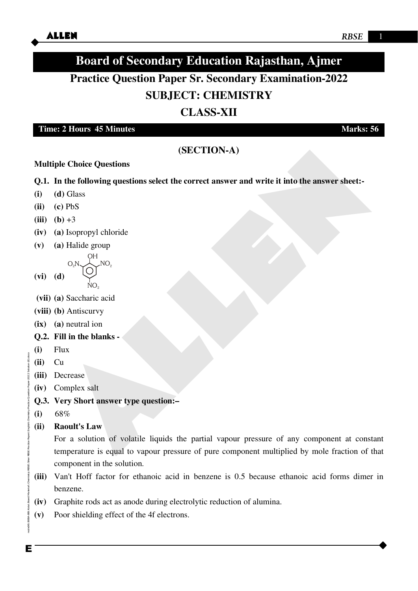# **Board of Secondary Education Rajasthan, Ajmer**

# **Practice Question Paper Sr. Secondary Examination-2022 SUBJECT: CHEMISTRY**

## **CLASS-XII**

**Time: 2 Hours** 45 Minutes Marks: 56

## **(SECTION-A)**

## **Multiple Choice Questions**

- **Q.1. In the following questions select the correct answer and write it into the answer sheet:-**
- **(i) (d)** Glass
- **(ii) (c)** PbS
- **(iii)**  $(b) +3$
- **(iv) (a)** Isopropyl chloride
- **(v) (a)** Halide group

OH  $ON, \lambda$  NO<sub>2</sub>

 $NO<sub>2</sub>$ 

- **(vi) (d)**
- **(vii) (a)** Saccharic acid
- **(viii) (b)** Antiscurvy
- **(ix) (a)** neutral ion
- **Q.2. Fill in the blanks -**
- **(i)** Flux
- **(ii)** Cu
- **(iii)** Decrease
- **(iv)** Complex salt
- **Q.3. Very Short answer type question:–**
- **(i)** 68%
- **(ii) Raoult's Law**

(SECTION-A)<br>
(SECTION-A)<br>
In the following questions select the correct answer and write it into the answer sheet!-<br>
(d) Glass<br>
(e) PbS<br>
(h) +3<br>
(a) lsopropyl chloride<br>
(a) Halide group<br>
(a)  $\bigcup_{N=100}^{N+} NQ$ ,<br>
(d)  $\bigcup_{$ For a solution of volatile liquids the partial vapour pressure of any component at constant temperature is equal to vapour pressure of pure component multiplied by mole fraction of that component in the solution.

- **(iii)** Van't Hoff factor for ethanoic acid in benzene is 0.5 because ethanoic acid forms dimer in benzene.
- **(iv)** Graphite rods act as anode during electrolytic reduction of alumina.
- **(v)** Poor shielding effect of the 4f electrons.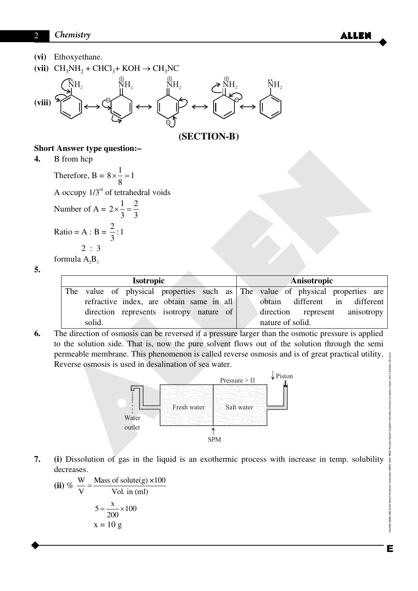**(vi)** Ethoxyethane.





**(SECTION-B)**

 $\bigoplus$ 

## **Short Answer type question:–**

**4.** B from hcp

Therefore,  $B = 8 \times \frac{1}{2} = 1$ 8  $\times\frac{1}{2}=1$ A occupy  $1/3^{rd}$  of tetrahedral voids Number of A =  $2 \times \frac{1}{2} = \frac{2}{2}$ 3 3  $x - 1 = 1$ Ratio = A : B =  $\frac{2}{3}$ :1 3 2 : 3 formula  $A_3B_3$ 

**5.** 

| t Answer type question:—                                                                                                                                                                                                                                    |                                                                                                                                            |
|-------------------------------------------------------------------------------------------------------------------------------------------------------------------------------------------------------------------------------------------------------------|--------------------------------------------------------------------------------------------------------------------------------------------|
| B from hcp                                                                                                                                                                                                                                                  |                                                                                                                                            |
| Therefore, B = $8 \times \frac{1}{8} = 1$                                                                                                                                                                                                                   |                                                                                                                                            |
| A occupy $1/3rd$ of tetrahedral voids                                                                                                                                                                                                                       |                                                                                                                                            |
| Number of A = $2 \times \frac{1}{3} = \frac{2}{3}$                                                                                                                                                                                                          |                                                                                                                                            |
| Ratio = A : B = $\frac{2}{3}$ : 1                                                                                                                                                                                                                           |                                                                                                                                            |
| 2 : 3<br>formula $A_2B_3$                                                                                                                                                                                                                                   |                                                                                                                                            |
| Isotropic                                                                                                                                                                                                                                                   | Anisotropic                                                                                                                                |
| The<br>value of physical properties such<br>as<br>refractive index, are obtain same in all<br>direction represents isotropy nature of<br>solid.                                                                                                             | The value of physical properties are<br>obtain<br>different<br>different<br>in<br>direction<br>represent<br>anisotropy<br>nature of solid. |
| The direction of osmosis can be reversed if a pressure larger than the osmotic pressure is applied                                                                                                                                                          |                                                                                                                                            |
| to the solution side. That is, now the pure solvent flows out of the solution through the semi<br>permeable membrane. This phenomenon is called reverse osmosis and is of great practical utility.<br>Reverse osmosis is used in desalination of sea water. |                                                                                                                                            |
| $\downarrow$ Piston<br>Pressure $>$ $\Pi$<br>Fresh water<br>Salt water<br>Water<br>outlet<br><b>SPM</b>                                                                                                                                                     |                                                                                                                                            |
|                                                                                                                                                                                                                                                             |                                                                                                                                            |

**6.** The direction of osmosis can be reversed if a pressure larger than the osmotic pressure is applied to the solution side. That is, now the pure solvent flows out of the solution through the semi permeable membrane. This phenomenon is called reverse osmosis and is of great practical utility. Reverse osmosis is used in desalination of sea water.



**7. (i)** Dissolution of gas in the liquid is an exothermic process with increase in temp. solubility decreases.

(ii) % 
$$
\frac{W}{V} = \frac{\text{Mass of solute(g)} \times 100}{\text{Vol. in (ml)}}
$$
  

$$
5 = \frac{x}{200} \times 100
$$

$$
x = 10 \text{ g}
$$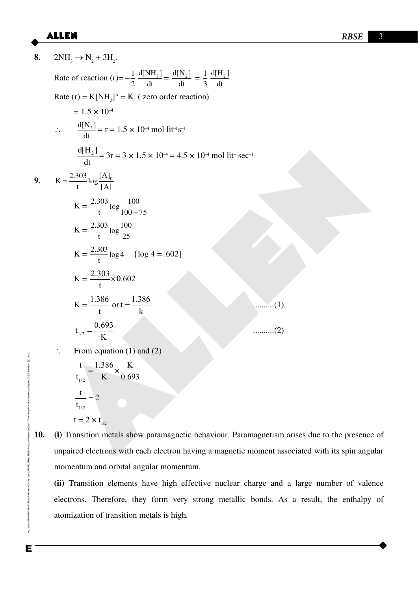**8.**  $2NH_3 \rightarrow N_2 + 3H_2$ . Rate of reaction  $(r) = -\frac{1}{2}$  $d[NH_3]$  $=\frac{d[N_2]}{1}$  $=\frac{1}{2}$  $d[H_2]$ 2 dt dt 3 dt Rate  $(r) = K[NH_3]^{\circ} = K$  (zero order reaction)  $= 1.5 \times 10^{-4}$  $\therefore \quad \frac{d[N_2]}{1}$  $= r = 1.5 \times 10^{-4}$  mol lit<sup>-1</sup>s<sup>-1</sup> dt  $\frac{d[H_2]}{dt} = 3r = 3 \times 1.5 \times 10^{-1} = 4.5 \times 10^{-1} \text{ mol lit/sec}^{-1}$ <br>  $K = \frac{2.303}{t} \log \frac{(\Delta)_k}{(\Delta)}$ <br>  $K = \frac{2.303}{t} \log \frac{100}{100-75}$ <br>  $K = \frac{2.303}{t} \log 4$  (log 4 = .602)<br>  $K = \frac{1.386}{t} \text{ or } t = \frac{1.386}{k}$ <br>  $K = \frac{1.386}{t} \text{ or } t = \frac{1.3$  $d[H_2]$  $= 3r = 3 \times 1.5 \times 10^{-4} = 4.5 \times 10^{-4}$  mol lit<sup>-1</sup>sec<sup>-1</sup> dt **9.**  $K = \frac{2.303}{\log_{10} 10}$  $=$ t  $\left[ \begin{matrix} A \end{matrix} \right]$  $K = \frac{2.303}{\log 100}$ t  $100 - 75$  $K = \frac{2.303}{100} \log \frac{100}{25}$ t  $\frac{125}{25}$  $K = \frac{2.303}{\log 4}$  $\log 4 = .602$ ] t  $K = \frac{2.303}{ } \times 0.602$  $\times$ t  $K = \frac{1.386}{1.386}$  or t =  $\frac{1.386}{1.386}$  $=\frac{1.500}{1}$ t k  $t_{1/2} = \frac{0.693}{V}$  ..........(2) K  $\therefore$  From equation (1) and (2) Enode06\B0BA-BB\Kota\Board Material\Chemistry\RBSE\Siker RBSE Practice Paper\English\Chemistry Practice Question Paper-2022 Solution (E).docx RBSE Practice Paper\English\Chemisty Practice Question Paper-2022 Solution (E).docx t 1.386 K  $=\frac{1.500}{1.500}$  X  $t_{1/2}$  K 0.693 1/2  $\frac{t}{-} = 2$  $=$ t 1/2  $t = 2 \times t_{1/2}$ **10. (i)** Transition metals show paramagnetic behaviour. Paramagnetism arises due to the presence of

unpaired electrons with each electron having a magnetic moment associated with its spin angular momentum and orbital angular momentum.

**(ii)** Transition elements have high effective nuclear charge and a large number of valence electrons. Therefore, they form very strong metallic bonds. As a result, the enthalpy of atomization of transition metals is high.

node06\B0BA-BB\Kota\Board Material\Chemistry\RBSE\Siker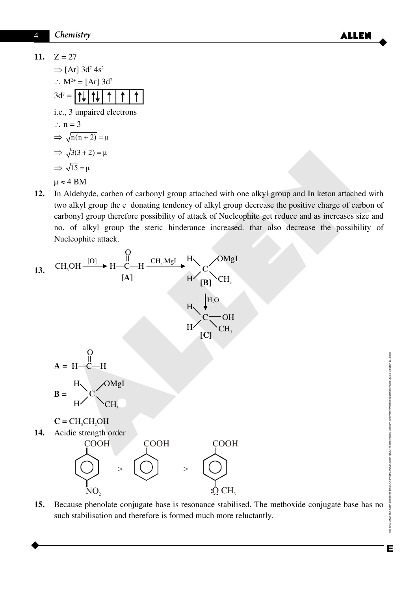- 11.  $Z = 27$  $\Rightarrow$  [Ar] 3d<sup>7</sup> 4s<sup>2</sup> :  $M^{2+} = [Ar] 3d^7$  $3d^7 =$ I t  $\uparrow$  i.e., 3 unpaired electrons  $\therefore$  n = 3  $\Rightarrow \sqrt{n(n+2)} = \mu$  $\Rightarrow \sqrt{3(3+2)} = \mu$  $\Rightarrow \sqrt{15} = \mu$  $\mu \approx 4$  BM
- **12.** In Aldehyde, carben of carbonyl group attached with one alkyl group and In keton attached with two alkyl group the e– donating tendency of alkyl group decrease the positive charge of carbon of carbonyl group therefore possibility of attack of Nucleophite get reduce and as increases size and no. of alkyl group the steric hinderance increased. that also decrease the possibility of Nucleophite attack.

$$
\Rightarrow \sqrt{3(3+2)} = \mu
$$
\n
$$
\Rightarrow \sqrt{15} = \mu
$$
\n
$$
\Rightarrow \sqrt{15} = \mu
$$
\n
$$
\mu \approx 4 \text{ BM}
$$
\n12. In Aldehyde, carbon of carbonyl group attached with one alkyl group and In keton attached with two alkyl group the e-donating tendency of alkyl group decrease the positive charge of carbon of carbonyl group therefore possibility of attack of Nucleophite get reduce and as increases size and no. of alkyl group the sterile hinderance increased. that also decrease the possibility of Nucleophite attack.\n13. CH<sub>3</sub>OH = 
$$
\frac{0}{14}
$$
\n
$$
\frac{0}{14}
$$
\n
$$
\frac{0}{14}
$$
\n
$$
\frac{0}{14}
$$
\n
$$
\frac{0}{14}
$$
\n
$$
\frac{0}{14}
$$
\n
$$
\frac{0}{14}
$$
\n
$$
\frac{0}{14}
$$
\n
$$
\frac{0}{14}
$$
\n
$$
\frac{0}{14}
$$
\n
$$
\frac{0}{14}
$$
\n
$$
\frac{0}{14}
$$
\n
$$
\frac{0}{14}
$$
\n
$$
\frac{0}{14}
$$
\n
$$
\frac{0}{14}
$$
\n
$$
\frac{0}{14}
$$
\n
$$
\frac{0}{14}
$$
\n
$$
\frac{0}{14}
$$
\n
$$
\frac{0}{14}
$$
\n
$$
\frac{0}{14}
$$
\n
$$
\frac{0}{14}
$$
\n
$$
\frac{0}{14}
$$
\n
$$
\frac{0}{14}
$$
\n
$$
\frac{0}{14}
$$
\n
$$
\frac{0}{14}
$$
\n
$$
\frac{0}{14}
$$
\n
$$
\frac{0}{14}
$$
\n
$$
\frac{0}{14}
$$
\n
$$
\frac{0}{14}
$$
\n
$$
\frac{0}{14}
$$
\n
$$
\frac{0}{14}
$$
\n
$$
\frac{0}{14}
$$
\n
$$
\frac{0}{14}
$$
\n
$$
\frac{0}{14}
$$
\n
$$
\frac{0}{14}
$$
\n
$$
\frac{0}{14}
$$
\n

**15.** Because phenolate conjugate base is resonance stabilised. The methoxide conjugate base has no such stabilisation and therefore is formed much more reluctantly.

**:**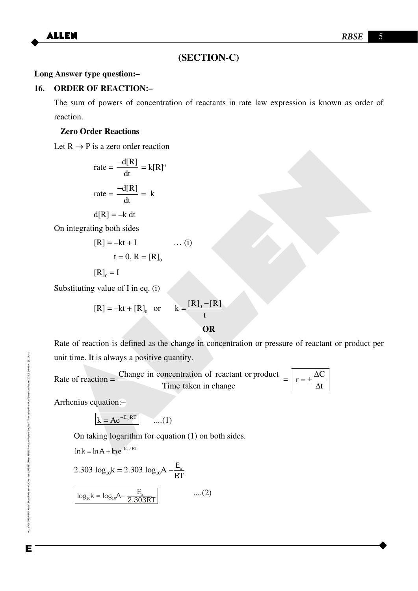## **(SECTION-C)**

#### **Long Answer type question:–**

#### **16. ORDER OF REACTION:–**

 The sum of powers of concentration of reactants in rate law expression is known as order of reaction.

#### **Zero Order Reactions**

Let  $R \rightarrow P$  is a zero order reaction

$$
rate = \frac{-d[R]}{dt} = k[R]^0
$$

$$
rate = \frac{-d[R]}{dt} = k
$$

$$
d[R] = -k dt
$$

On integrating both sides

$$
[R] = -kt + I \qquad \dots (i)
$$

$$
t = 0, R = [R]_0
$$

 $[R]_0 = I$ 

Substituting value of I in eq. (i)

$$
[R] = -kt + [R]_0 \quad \text{or} \qquad k = \frac{[R]_0 - [R]}{t}
$$

Let  $\kappa \rightarrow r$  is a zero orientation<br>
rate =  $\frac{-d[R]}{dt} = k[R]$ <br>
rate =  $\frac{-d[R]}{dt} = k$ <br>
On integrating both sides<br>  $[R] = -kt + T$  .... (i)<br>  $t = 0$ ,  $R = [R]_0$ <br>  $[R]_0 = I$ <br>
Substituting value of I in eq. (i)<br>  $[R]_1 = -kt + [R]_0$ , or  $k = \frac{$ Rate of reaction is defined as the change in concentration or pressure of reactant or product per unit time. It is always a positive quantity.

Rate of reaction = 
$$
\frac{\text{Change in concentration of reactant or product}}{\text{Time taken in change}} = \boxed{r = \pm \frac{\Delta C}{\Delta t}}
$$

Arrhenius equation:–

 $k = Ae^{-E_{a}/RT}$  ....(1)

On taking logarithm for equation (1) on both sides.

 $\ln k = \ln A + \ln e^{-E_a/RT}$ 

2.303 
$$
\log_{10} k = 2.303 \log_{10} A - \frac{E_a}{RT}
$$
  
\n
$$
\log_{10} k = \log_{10} A - \frac{E_a}{2.303RT}
$$
 ....(2)

Enode06\B0BA-BB\Kota\Board Material\Chemistry\RBSE\Siker RBSE Practice Paper\English\Chemistry Practice Question Paper-2022 Solution (E).docx Е

nole06\B0BA-BB\Kola\Board Material\Chemistry\RBSE\S&er RBSE Practice Paper\English\Chemistry Practice Queston Paper-2022 Solution (E).doxx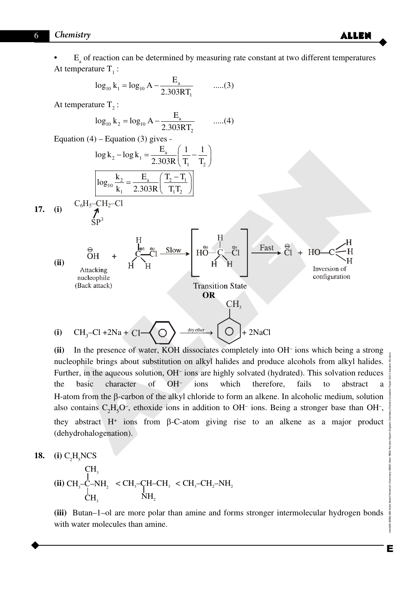• E<sub>a</sub> of reaction can be determined by measuring rate constant at two different temperatures At temperature  $T_1$ :

$$
\log_{10} k_1 = \log_{10} A - \frac{E_a}{2.303RT_1} \qquad \qquad \dots (3)
$$

At temperature  $T_2$ :

$$
\log_{10} k_2 = \log_{10} A - \frac{E_a}{2.303RT_2} \qquad \dots (4)
$$

Equation  $(4)$  – Equation  $(3)$  gives -

$$
\log k_2 - \log k_1 = \frac{E_a}{2.303R} \left( \frac{1}{T_1} - \frac{1}{T_2} \right)
$$

$$
\log_{10} \frac{k_2}{k_1} = \frac{E_a}{2.303R} \left( \frac{T_2 - T_1}{T_1 T_2} \right)
$$

17. (i) 
$$
C_6H_5\frac{CH_2-Cl}{\Lambda}
$$



(ii) In the presence of water, KOH dissociates completely into OH<sup>-</sup> ions which being a strong nucleophile brings about substitution on alkyl halides and produce alcohols from alkyl halides. Further, in the aqueous solution, OH<sup>-</sup> ions are highly solvated (hydrated). This solvation reduces the basic character of OH– ions which therefore, fails to abstract a H-atom from the  $\beta$ -carbon of the alkyl chloride to form an alkene. In alcoholic medium, solution also contains  $C_2H_5O^{\dagger}$ , ethoxide ions in addition to OH<sup>-</sup> ions. Being a stronger base than OH<sup>-</sup>, they abstract  $H^+$  ions from  $\beta$ -C-atom giving rise to an alkene as a major product (dehydrohalogenation).

$$
18. (i) C2H5NCS
$$

CH<sub>3</sub>  
(ii) CH<sub>3</sub>-C-NH<sub>2</sub> 
$$
\\\times
$$
 CH<sub>3</sub>-CH-C-H<sub>3</sub>  $\\\times$  CH<sub>3</sub>-CH<sub>2</sub>-NH<sub>2</sub>  
CH<sub>3</sub>

**(iii)** Butan–1–ol are more polar than amine and forms stronger intermolecular hydrogen bonds with water molecules than amine.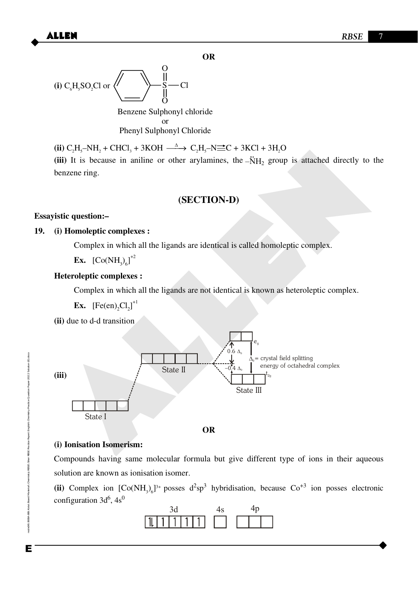**OR** 



Benzene Sulphonyl chloride or Phenyl Sulphonyl Chloride

 $\bullet$  **(ii)**  $C_2H_5-NH_2 + CHCl_3 + 3KOH \xrightarrow{\Delta} C_2H_5-N\equiv C + 3KCl + 3H_2O$ 

(iii) It is because in aniline or other arylamines, the  $-\text{NH}_2$  group is attached directly to the benzene ring.

## **(SECTION-D)**

## **Essayistic question:–**

## **19. (i) Homoleptic complexes :**

Complex in which all the ligands are identical is called homoleptic complex.

**Ex.**  $[Co(NH_3)_6]^{12}$ 

## **Heteroleptic complexes :**

Complex in which all the ligands are not identical is known as heteroleptic complex.

**Ex.**  $[Fe(en)_2Cl_2]^{1/2}$ 

**(ii)** due to d-d transition



## **(i) Ionisation Isomerism:**

 Compounds having same molecular formula but give different type of ions in their aqueous solution are known as ionisation isomer.

(ii) Complex ion  $[Co(NH_3)_6]^{3+}$  posses  $d^2sp^3$  hybridisation, because  $Co^{+3}$  ion posses electronic configuration  $3d^6$ ,  $4s^0$ 



node06\B0BA-BB\Kota\Board Material\Chemistry\RBSE\S&er RBSE Practice Paper\English\Chemistry Practice Queston Paper-2022 Solution (E).docx